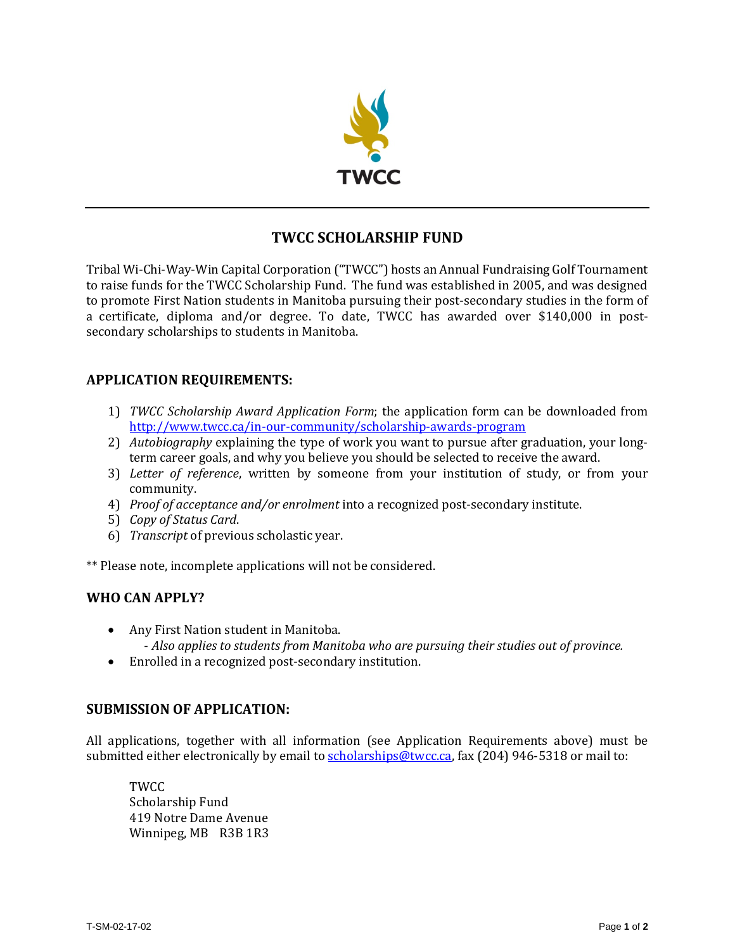

# **TWCC SCHOLARSHIP FUND**

Tribal Wi-Chi-Way-Win Capital Corporation ("TWCC") hosts an Annual Fundraising Golf Tournament to raise funds for the TWCC Scholarship Fund. The fund was established in 2005, and was designed to promote First Nation students in Manitoba pursuing their post-secondary studies in the form of a certificate, diploma and/or degree. To date, TWCC has awarded over \$140,000 in postsecondary scholarships to students in Manitoba.

## **APPLICATION REQUIREMENTS:**

- 1) *TWCC Scholarship Award Application Form*; the application form can be downloaded from <http://www.twcc.ca/in-our-community/scholarship-awards-program>
- 2) *Autobiography* explaining the type of work you want to pursue after graduation, your longterm career goals, and why you believe you should be selected to receive the award.
- 3) *Letter of reference*, written by someone from your institution of study, or from your community.
- 4) *Proof of acceptance and/or enrolment* into a recognized post-secondary institute.
- 5) *Copy of Status Card*.
- 6) *Transcript* of previous scholastic year.

\*\* Please note, incomplete applications will not be considered.

#### **WHO CAN APPLY?**

- Any First Nation student in Manitoba. - *Also applies to students from Manitoba who are pursuing their studies out of province.*
- Enrolled in a recognized post-secondary institution.

#### **SUBMISSION OF APPLICATION:**

All applications, together with all information (see Application Requirements above) must be submitted either electronically by email to [scholarships@twcc.ca,](mailto:scholarships@twcc.ca) fax (204) 946-5318 or mail to:

TWCC Scholarship Fund 419 Notre Dame Avenue Winnipeg, MB R3B 1R3